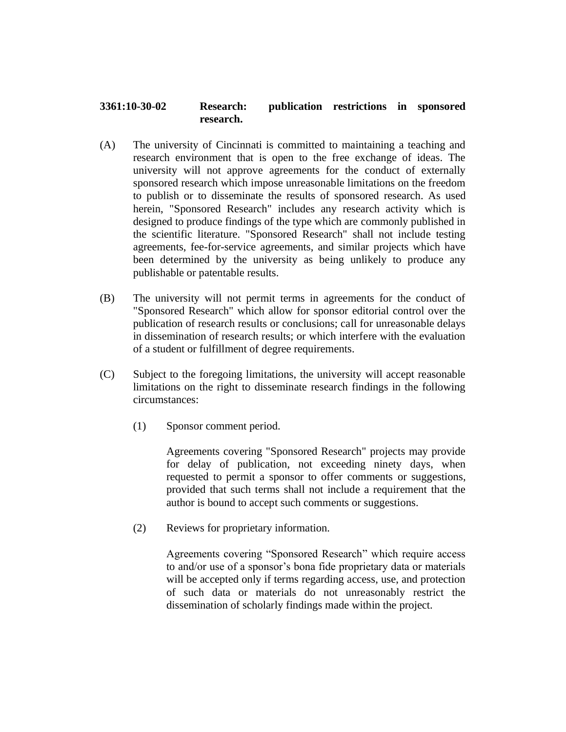## **3361:10-30-02 Research: publication restrictions in sponsored research.**

- (A) The university of Cincinnati is committed to maintaining a teaching and research environment that is open to the free exchange of ideas. The university will not approve agreements for the conduct of externally sponsored research which impose unreasonable limitations on the freedom to publish or to disseminate the results of sponsored research. As used herein, "Sponsored Research" includes any research activity which is designed to produce findings of the type which are commonly published in the scientific literature. "Sponsored Research" shall not include testing agreements, fee-for-service agreements, and similar projects which have been determined by the university as being unlikely to produce any publishable or patentable results.
- (B) The university will not permit terms in agreements for the conduct of "Sponsored Research" which allow for sponsor editorial control over the publication of research results or conclusions; call for unreasonable delays in dissemination of research results; or which interfere with the evaluation of a student or fulfillment of degree requirements.
- (C) Subject to the foregoing limitations, the university will accept reasonable limitations on the right to disseminate research findings in the following circumstances:
	- (1) Sponsor comment period.

Agreements covering "Sponsored Research" projects may provide for delay of publication, not exceeding ninety days, when requested to permit a sponsor to offer comments or suggestions, provided that such terms shall not include a requirement that the author is bound to accept such comments or suggestions.

(2) Reviews for proprietary information.

Agreements covering "Sponsored Research" which require access to and/or use of a sponsor's bona fide proprietary data or materials will be accepted only if terms regarding access, use, and protection of such data or materials do not unreasonably restrict the dissemination of scholarly findings made within the project.